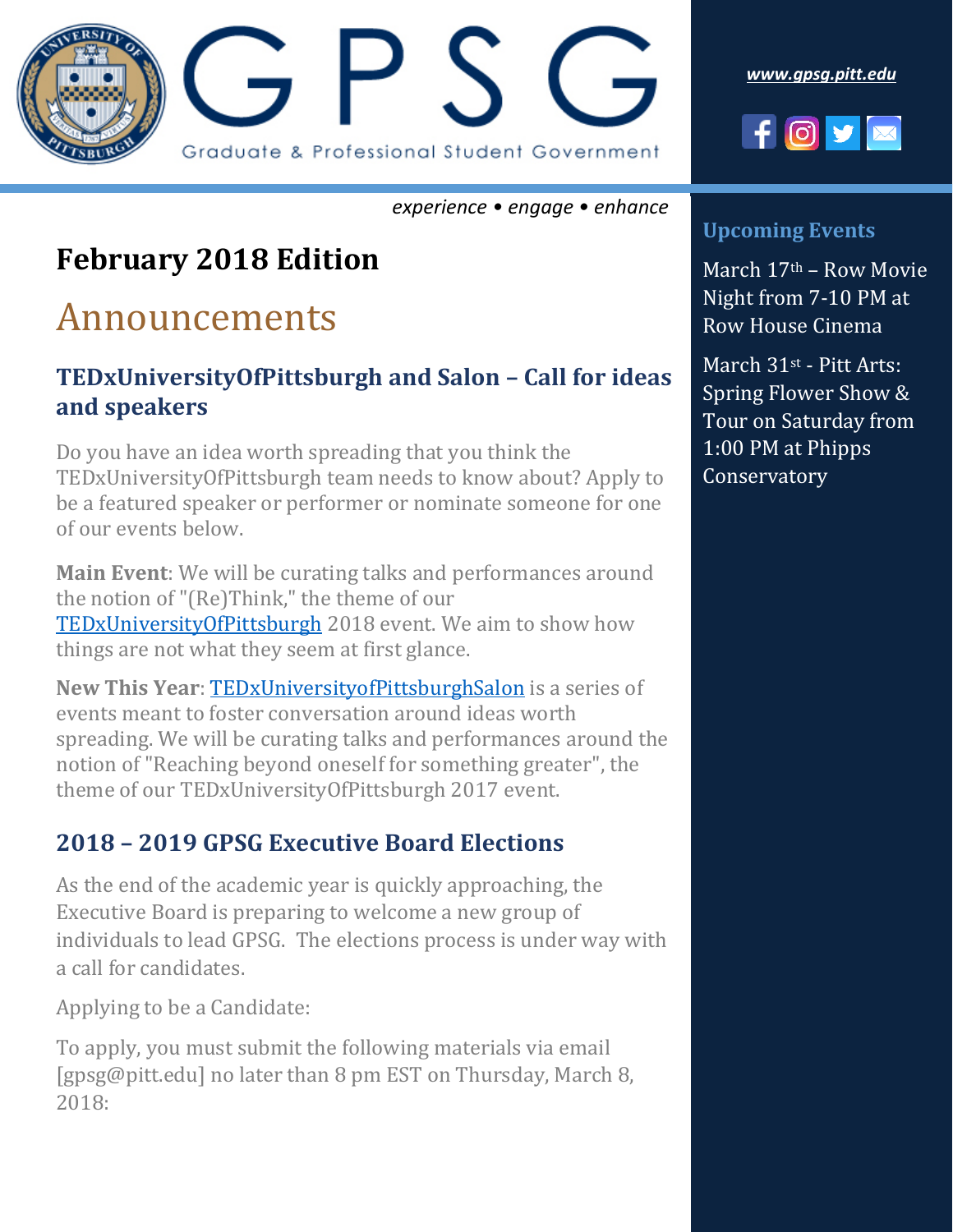

*experience • engage • enhance*

## **February 2018 Edition**

# Announcements

#### **TEDxUniversityOfPittsburgh and Salon – Call for ideas and speakers**

Do you have an idea worth spreading that you think the TEDxUniversityOfPittsburgh team needs to know about? Apply to be a featured speaker or performer or nominate someone for one of our events below.

**Main Event**: We will be curating talks and performances around the notion of "(Re)Think," the theme of our [TEDxUniversityOfPittsburgh](https://goo.gl/1dyDZq) 2018 event. We aim to show how things are not what they seem at first glance.

**New This Year**: [TEDxUniversityofPittsburghSalon](https://goo.gl/PPcCig) is a series of events meant to foster conversation around ideas worth spreading. We will be curating talks and performances around the notion of "Reaching beyond oneself for something greater", the theme of our TEDxUniversityOfPittsburgh 2017 event.

#### **2018 – 2019 GPSG Executive Board Elections**

As the end of the academic year is quickly approaching, the Executive Board is preparing to welcome a new group of individuals to lead GPSG. The elections process is under way with a call for candidates.

Applying to be a Candidate:

To apply, you must submit the following materials via email [gpsg@pitt.edu] no later than 8 pm EST on Thursday, March 8, 2018:





#### **Upcoming Events**

March 17th – Row Movie Night from 7-10 PM at Row House Cinema

March 31st - Pitt Arts: Spring Flower Show & Tour on Saturday from 1:00 PM at Phipps Conservatory